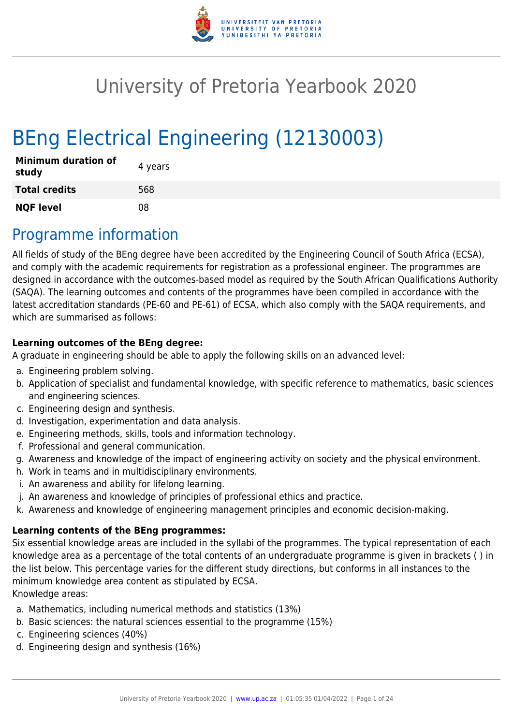

# University of Pretoria Yearbook 2020

# BEng Electrical Engineering (12130003)

| <b>Minimum duration of</b><br>study | 4 years |
|-------------------------------------|---------|
| <b>Total credits</b>                | 568     |
| <b>NQF level</b>                    | በጸ      |

# Programme information

All fields of study of the BEng degree have been accredited by the Engineering Council of South Africa (ECSA), and comply with the academic requirements for registration as a professional engineer. The programmes are designed in accordance with the outcomes-based model as required by the South African Qualifications Authority (SAQA). The learning outcomes and contents of the programmes have been compiled in accordance with the latest accreditation standards (PE-60 and PE-61) of ECSA, which also comply with the SAQA requirements, and which are summarised as follows:

#### **Learning outcomes of the BEng degree:**

A graduate in engineering should be able to apply the following skills on an advanced level:

- a. Engineering problem solving.
- b. Application of specialist and fundamental knowledge, with specific reference to mathematics, basic sciences and engineering sciences.
- c. Engineering design and synthesis.
- d. Investigation, experimentation and data analysis.
- e. Engineering methods, skills, tools and information technology.
- f. Professional and general communication.
- g. Awareness and knowledge of the impact of engineering activity on society and the physical environment.
- h. Work in teams and in multidisciplinary environments.
- i. An awareness and ability for lifelong learning.
- j. An awareness and knowledge of principles of professional ethics and practice.
- k. Awareness and knowledge of engineering management principles and economic decision-making.

#### **Learning contents of the BEng programmes:**

Six essential knowledge areas are included in the syllabi of the programmes. The typical representation of each knowledge area as a percentage of the total contents of an undergraduate programme is given in brackets ( ) in the list below. This percentage varies for the different study directions, but conforms in all instances to the minimum knowledge area content as stipulated by ECSA.

Knowledge areas:

- a. Mathematics, including numerical methods and statistics (13%)
- b. Basic sciences: the natural sciences essential to the programme (15%)
- c. Engineering sciences (40%)
- d. Engineering design and synthesis (16%)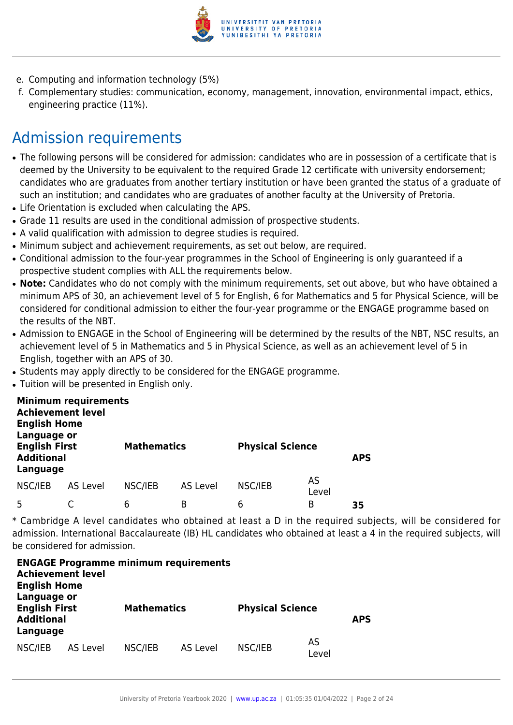

- e. Computing and information technology (5%)
- f. Complementary studies: communication, economy, management, innovation, environmental impact, ethics, engineering practice (11%).

# Admission requirements

- The following persons will be considered for admission: candidates who are in possession of a certificate that is deemed by the University to be equivalent to the required Grade 12 certificate with university endorsement; candidates who are graduates from another tertiary institution or have been granted the status of a graduate of such an institution; and candidates who are graduates of another faculty at the University of Pretoria.
- Life Orientation is excluded when calculating the APS.
- Grade 11 results are used in the conditional admission of prospective students.
- A valid qualification with admission to degree studies is required.
- Minimum subject and achievement requirements, as set out below, are required.
- Conditional admission to the four-year programmes in the School of Engineering is only guaranteed if a prospective student complies with ALL the requirements below.
- Note: Candidates who do not comply with the minimum requirements, set out above, but who have obtained a minimum APS of 30, an achievement level of 5 for English, 6 for Mathematics and 5 for Physical Science, will be considered for conditional admission to either the four-year programme or the ENGAGE programme based on the results of the NBT.
- Admission to ENGAGE in the School of Engineering will be determined by the results of the NBT, NSC results, an achievement level of 5 in Mathematics and 5 in Physical Science, as well as an achievement level of 5 in English, together with an APS of 30.
- Students may apply directly to be considered for the ENGAGE programme.
- Tuition will be presented in English only.

| <b>Achievement level</b><br><b>English Home</b><br>Language or | <b>Minimum requirements</b> |                    |                 |                         |             |            |
|----------------------------------------------------------------|-----------------------------|--------------------|-----------------|-------------------------|-------------|------------|
| <b>English First</b><br><b>Additional</b><br>Language          |                             | <b>Mathematics</b> |                 | <b>Physical Science</b> |             | <b>APS</b> |
| NSC/IEB                                                        | AS Level                    | NSC/IEB            | <b>AS Level</b> | NSC/IEB                 | AS<br>Level |            |
| 5                                                              |                             | 6                  | B               | 6                       | В           | 35         |

\* Cambridge A level candidates who obtained at least a D in the required subjects, will be considered for admission. International Baccalaureate (IB) HL candidates who obtained at least a 4 in the required subjects, will be considered for admission.

| <b>Achievement level</b><br><b>English Home</b>                      |          | <b>ENGAGE Programme minimum requirements</b> |          |                         |             |            |
|----------------------------------------------------------------------|----------|----------------------------------------------|----------|-------------------------|-------------|------------|
| Language or<br><b>English First</b><br><b>Additional</b><br>Language |          | <b>Mathematics</b>                           |          | <b>Physical Science</b> |             | <b>APS</b> |
| NSC/IEB                                                              | AS Level | NSC/IEB                                      | AS Level | NSC/IEB                 | AS<br>Level |            |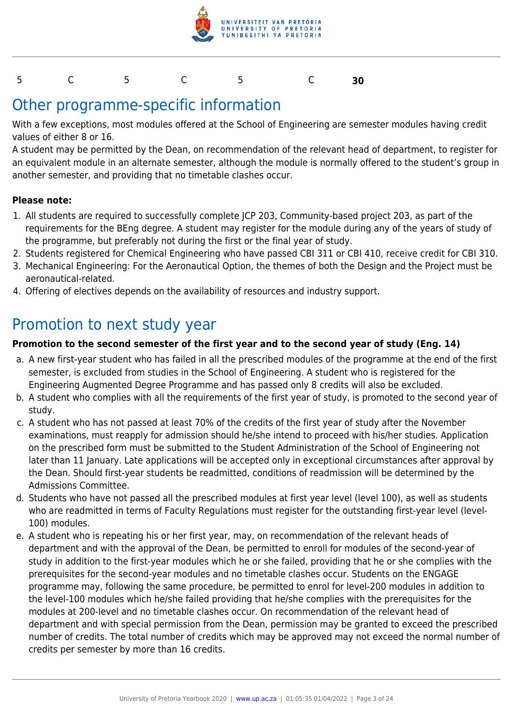

#### 5 C 5 C 5 C **30**

## Other programme-specific information

With a few exceptions, most modules offered at the School of Engineering are semester modules having credit values of either 8 or 16.

A student may be permitted by the Dean, on recommendation of the relevant head of department, to register for an equivalent module in an alternate semester, although the module is normally offered to the student's group in another semester, and providing that no timetable clashes occur.

#### **Please note:**

- 1. All students are required to successfully complete JCP 203, Community-based project 203, as part of the requirements for the BEng degree. A student may register for the module during any of the years of study of the programme, but preferably not during the first or the final year of study.
- 2. Students registered for Chemical Engineering who have passed CBI 311 or CBI 410, receive credit for CBI 310.
- 3. Mechanical Engineering: For the Aeronautical Option, the themes of both the Design and the Project must be aeronautical-related.
- 4. Offering of electives depends on the availability of resources and industry support.

### Promotion to next study year

#### **Promotion to the second semester of the first year and to the second year of study (Eng. 14)**

- a. A new first-year student who has failed in all the prescribed modules of the programme at the end of the first semester, is excluded from studies in the School of Engineering. A student who is registered for the Engineering Augmented Degree Programme and has passed only 8 credits will also be excluded.
- b. A student who complies with all the requirements of the first year of study, is promoted to the second year of study.
- c. A student who has not passed at least 70% of the credits of the first year of study after the November examinations, must reapply for admission should he/she intend to proceed with his/her studies. Application on the prescribed form must be submitted to the Student Administration of the School of Engineering not later than 11 January. Late applications will be accepted only in exceptional circumstances after approval by the Dean. Should first-year students be readmitted, conditions of readmission will be determined by the Admissions Committee.
- d. Students who have not passed all the prescribed modules at first year level (level 100), as well as students who are readmitted in terms of Faculty Regulations must register for the outstanding first-year level (level-100) modules.
- e. A student who is repeating his or her first year, may, on recommendation of the relevant heads of department and with the approval of the Dean, be permitted to enroll for modules of the second-year of study in addition to the first-year modules which he or she failed, providing that he or she complies with the prerequisites for the second-year modules and no timetable clashes occur. Students on the ENGAGE programme may, following the same procedure, be permitted to enrol for level-200 modules in addition to the level-100 modules which he/she failed providing that he/she complies with the prerequisites for the modules at 200-level and no timetable clashes occur. On recommendation of the relevant head of department and with special permission from the Dean, permission may be granted to exceed the prescribed number of credits. The total number of credits which may be approved may not exceed the normal number of credits per semester by more than 16 credits.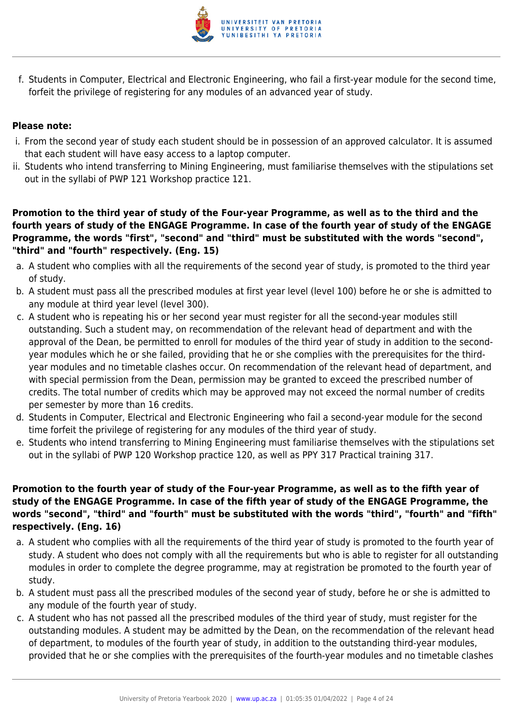

f. Students in Computer, Electrical and Electronic Engineering, who fail a first-year module for the second time, forfeit the privilege of registering for any modules of an advanced year of study.

#### **Please note:**

- i. From the second year of study each student should be in possession of an approved calculator. It is assumed that each student will have easy access to a laptop computer.
- ii. Students who intend transferring to Mining Engineering, must familiarise themselves with the stipulations set out in the syllabi of PWP 121 Workshop practice 121.

**Promotion to the third year of study of the Four-year Programme, as well as to the third and the fourth years of study of the ENGAGE Programme. In case of the fourth year of study of the ENGAGE Programme, the words "first", "second" and "third" must be substituted with the words "second", "third" and "fourth" respectively. (Eng. 15)**

- a. A student who complies with all the requirements of the second year of study, is promoted to the third year of study.
- b. A student must pass all the prescribed modules at first year level (level 100) before he or she is admitted to any module at third year level (level 300).
- c. A student who is repeating his or her second year must register for all the second-year modules still outstanding. Such a student may, on recommendation of the relevant head of department and with the approval of the Dean, be permitted to enroll for modules of the third year of study in addition to the secondyear modules which he or she failed, providing that he or she complies with the prerequisites for the thirdyear modules and no timetable clashes occur. On recommendation of the relevant head of department, and with special permission from the Dean, permission may be granted to exceed the prescribed number of credits. The total number of credits which may be approved may not exceed the normal number of credits per semester by more than 16 credits.
- d. Students in Computer, Electrical and Electronic Engineering who fail a second-year module for the second time forfeit the privilege of registering for any modules of the third year of study.
- e. Students who intend transferring to Mining Engineering must familiarise themselves with the stipulations set out in the syllabi of PWP 120 Workshop practice 120, as well as PPY 317 Practical training 317.

#### **Promotion to the fourth year of study of the Four-year Programme, as well as to the fifth year of study of the ENGAGE Programme. In case of the fifth year of study of the ENGAGE Programme, the words "second", "third" and "fourth" must be substituted with the words "third", "fourth" and "fifth" respectively. (Eng. 16)**

- a. A student who complies with all the requirements of the third year of study is promoted to the fourth year of study. A student who does not comply with all the requirements but who is able to register for all outstanding modules in order to complete the degree programme, may at registration be promoted to the fourth year of study.
- b. A student must pass all the prescribed modules of the second year of study, before he or she is admitted to any module of the fourth year of study.
- c. A student who has not passed all the prescribed modules of the third year of study, must register for the outstanding modules. A student may be admitted by the Dean, on the recommendation of the relevant head of department, to modules of the fourth year of study, in addition to the outstanding third-year modules, provided that he or she complies with the prerequisites of the fourth-year modules and no timetable clashes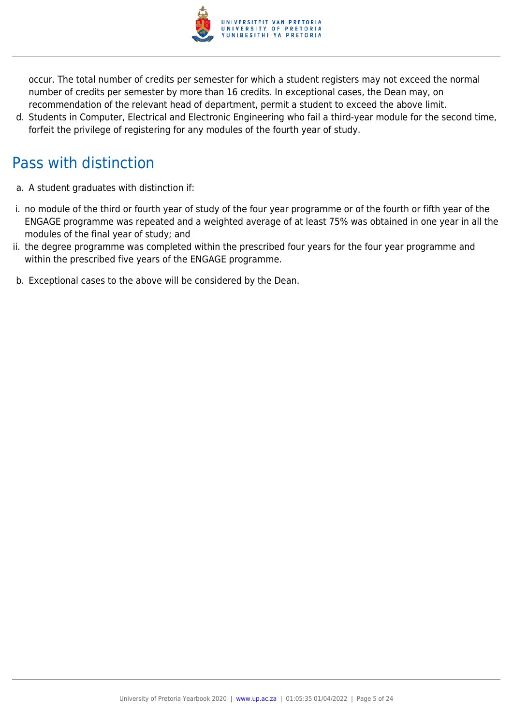

occur. The total number of credits per semester for which a student registers may not exceed the normal number of credits per semester by more than 16 credits. In exceptional cases, the Dean may, on recommendation of the relevant head of department, permit a student to exceed the above limit.

d. Students in Computer, Electrical and Electronic Engineering who fail a third-year module for the second time, forfeit the privilege of registering for any modules of the fourth year of study.

# Pass with distinction

- a. A student graduates with distinction if:
- i. no module of the third or fourth year of study of the four year programme or of the fourth or fifth year of the ENGAGE programme was repeated and a weighted average of at least 75% was obtained in one year in all the modules of the final year of study; and
- ii. the degree programme was completed within the prescribed four years for the four year programme and within the prescribed five years of the ENGAGE programme.
- b. Exceptional cases to the above will be considered by the Dean.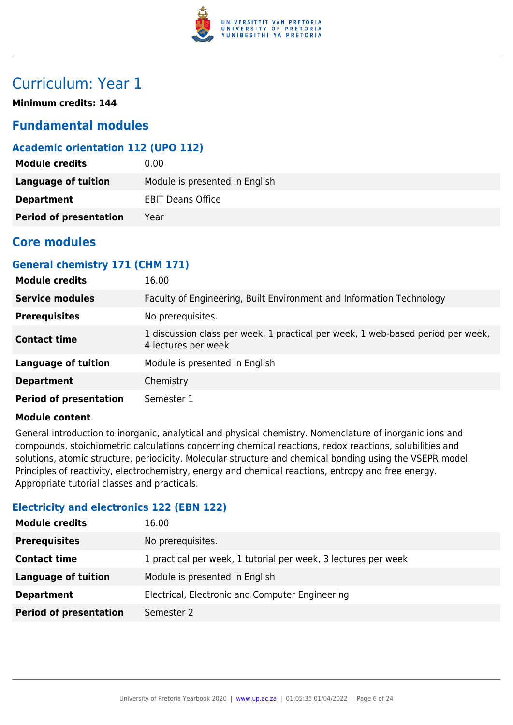

## Curriculum: Year 1

**Minimum credits: 144**

### **Fundamental modules**

#### **Academic orientation 112 (UPO 112)**

| <b>Module credits</b>         | 0.00                           |
|-------------------------------|--------------------------------|
| Language of tuition           | Module is presented in English |
| <b>Department</b>             | <b>EBIT Deans Office</b>       |
| <b>Period of presentation</b> | Year                           |

### **Core modules**

#### **General chemistry 171 (CHM 171)**

| <b>Module credits</b>         | 16.00                                                                                                  |
|-------------------------------|--------------------------------------------------------------------------------------------------------|
| <b>Service modules</b>        | Faculty of Engineering, Built Environment and Information Technology                                   |
| <b>Prerequisites</b>          | No prerequisites.                                                                                      |
| <b>Contact time</b>           | 1 discussion class per week, 1 practical per week, 1 web-based period per week,<br>4 lectures per week |
| <b>Language of tuition</b>    | Module is presented in English                                                                         |
| <b>Department</b>             | Chemistry                                                                                              |
| <b>Period of presentation</b> | Semester 1                                                                                             |

#### **Module content**

General introduction to inorganic, analytical and physical chemistry. Nomenclature of inorganic ions and compounds, stoichiometric calculations concerning chemical reactions, redox reactions, solubilities and solutions, atomic structure, periodicity. Molecular structure and chemical bonding using the VSEPR model. Principles of reactivity, electrochemistry, energy and chemical reactions, entropy and free energy. Appropriate tutorial classes and practicals.

#### **Electricity and electronics 122 (EBN 122)**

| <b>Module credits</b>         | 16.00                                                          |
|-------------------------------|----------------------------------------------------------------|
| <b>Prerequisites</b>          | No prerequisites.                                              |
| <b>Contact time</b>           | 1 practical per week, 1 tutorial per week, 3 lectures per week |
| <b>Language of tuition</b>    | Module is presented in English                                 |
| <b>Department</b>             | Electrical, Electronic and Computer Engineering                |
| <b>Period of presentation</b> | Semester 2                                                     |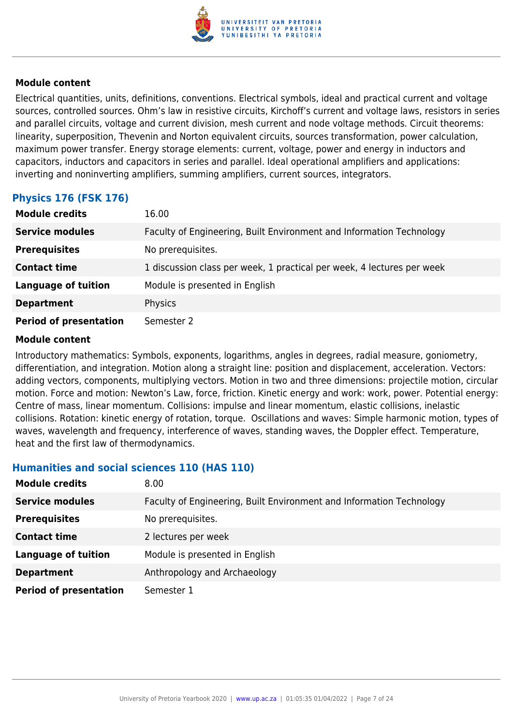

Electrical quantities, units, definitions, conventions. Electrical symbols, ideal and practical current and voltage sources, controlled sources. Ohm's law in resistive circuits, Kirchoff's current and voltage laws, resistors in series and parallel circuits, voltage and current division, mesh current and node voltage methods. Circuit theorems: linearity, superposition, Thevenin and Norton equivalent circuits, sources transformation, power calculation, maximum power transfer. Energy storage elements: current, voltage, power and energy in inductors and capacitors, inductors and capacitors in series and parallel. Ideal operational amplifiers and applications: inverting and noninverting amplifiers, summing amplifiers, current sources, integrators.

#### **Physics 176 (FSK 176)**

| <b>Module credits</b>         | 16.00                                                                  |
|-------------------------------|------------------------------------------------------------------------|
| <b>Service modules</b>        | Faculty of Engineering, Built Environment and Information Technology   |
| <b>Prerequisites</b>          | No prerequisites.                                                      |
| <b>Contact time</b>           | 1 discussion class per week, 1 practical per week, 4 lectures per week |
| <b>Language of tuition</b>    | Module is presented in English                                         |
| <b>Department</b>             | Physics                                                                |
| <b>Period of presentation</b> | Semester 2                                                             |

#### **Module content**

Introductory mathematics: Symbols, exponents, logarithms, angles in degrees, radial measure, goniometry, differentiation, and integration. Motion along a straight line: position and displacement, acceleration. Vectors: adding vectors, components, multiplying vectors. Motion in two and three dimensions: projectile motion, circular motion. Force and motion: Newton's Law, force, friction. Kinetic energy and work: work, power. Potential energy: Centre of mass, linear momentum. Collisions: impulse and linear momentum, elastic collisions, inelastic collisions. Rotation: kinetic energy of rotation, torque. Oscillations and waves: Simple harmonic motion, types of waves, wavelength and frequency, interference of waves, standing waves, the Doppler effect. Temperature, heat and the first law of thermodynamics.

#### **Humanities and social sciences 110 (HAS 110)**

| <b>Module credits</b>         | 8.00                                                                 |
|-------------------------------|----------------------------------------------------------------------|
| <b>Service modules</b>        | Faculty of Engineering, Built Environment and Information Technology |
| <b>Prerequisites</b>          | No prerequisites.                                                    |
| <b>Contact time</b>           | 2 lectures per week                                                  |
| <b>Language of tuition</b>    | Module is presented in English                                       |
| <b>Department</b>             | Anthropology and Archaeology                                         |
| <b>Period of presentation</b> | Semester 1                                                           |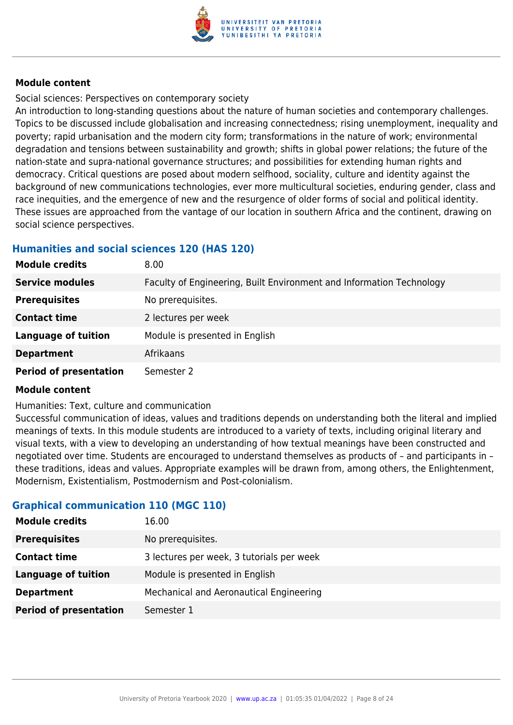

Social sciences: Perspectives on contemporary society

An introduction to long-standing questions about the nature of human societies and contemporary challenges. Topics to be discussed include globalisation and increasing connectedness; rising unemployment, inequality and poverty; rapid urbanisation and the modern city form; transformations in the nature of work; environmental degradation and tensions between sustainability and growth; shifts in global power relations; the future of the nation-state and supra-national governance structures; and possibilities for extending human rights and democracy. Critical questions are posed about modern selfhood, sociality, culture and identity against the background of new communications technologies, ever more multicultural societies, enduring gender, class and race inequities, and the emergence of new and the resurgence of older forms of social and political identity. These issues are approached from the vantage of our location in southern Africa and the continent, drawing on social science perspectives.

#### **Humanities and social sciences 120 (HAS 120)**

| <b>Module credits</b>         | 8.00                                                                 |
|-------------------------------|----------------------------------------------------------------------|
| <b>Service modules</b>        | Faculty of Engineering, Built Environment and Information Technology |
| <b>Prerequisites</b>          | No prerequisites.                                                    |
| <b>Contact time</b>           | 2 lectures per week                                                  |
| <b>Language of tuition</b>    | Module is presented in English                                       |
| <b>Department</b>             | Afrikaans                                                            |
| <b>Period of presentation</b> | Semester 2                                                           |

#### **Module content**

Humanities: Text, culture and communication

Successful communication of ideas, values and traditions depends on understanding both the literal and implied meanings of texts. In this module students are introduced to a variety of texts, including original literary and visual texts, with a view to developing an understanding of how textual meanings have been constructed and negotiated over time. Students are encouraged to understand themselves as products of – and participants in – these traditions, ideas and values. Appropriate examples will be drawn from, among others, the Enlightenment, Modernism, Existentialism, Postmodernism and Post-colonialism.

#### **Graphical communication 110 (MGC 110)**

| <b>Module credits</b>         | 16.00                                     |
|-------------------------------|-------------------------------------------|
| <b>Prerequisites</b>          | No prerequisites.                         |
| <b>Contact time</b>           | 3 lectures per week, 3 tutorials per week |
| <b>Language of tuition</b>    | Module is presented in English            |
| <b>Department</b>             | Mechanical and Aeronautical Engineering   |
| <b>Period of presentation</b> | Semester 1                                |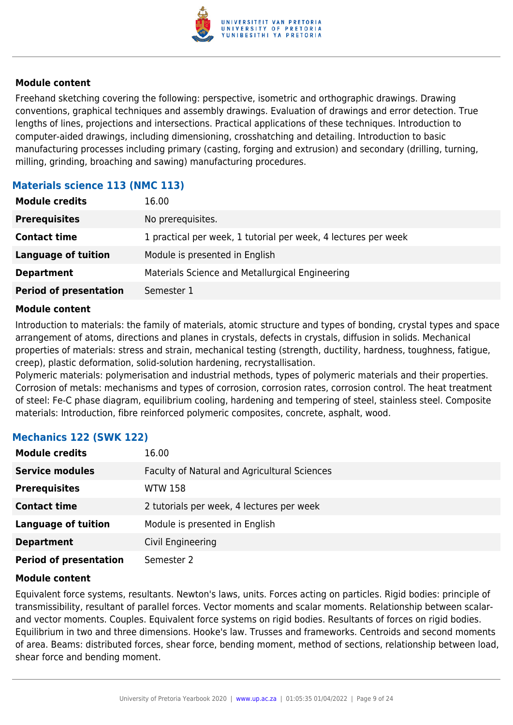

Freehand sketching covering the following: perspective, isometric and orthographic drawings. Drawing conventions, graphical techniques and assembly drawings. Evaluation of drawings and error detection. True lengths of lines, projections and intersections. Practical applications of these techniques. Introduction to computer-aided drawings, including dimensioning, crosshatching and detailing. Introduction to basic manufacturing processes including primary (casting, forging and extrusion) and secondary (drilling, turning, milling, grinding, broaching and sawing) manufacturing procedures.

#### **Materials science 113 (NMC 113)**

| <b>Module credits</b>         | 16.00                                                          |
|-------------------------------|----------------------------------------------------------------|
| <b>Prerequisites</b>          | No prerequisites.                                              |
| <b>Contact time</b>           | 1 practical per week, 1 tutorial per week, 4 lectures per week |
| <b>Language of tuition</b>    | Module is presented in English                                 |
| <b>Department</b>             | Materials Science and Metallurgical Engineering                |
| <b>Period of presentation</b> | Semester 1                                                     |

#### **Module content**

Introduction to materials: the family of materials, atomic structure and types of bonding, crystal types and space arrangement of atoms, directions and planes in crystals, defects in crystals, diffusion in solids. Mechanical properties of materials: stress and strain, mechanical testing (strength, ductility, hardness, toughness, fatigue, creep), plastic deformation, solid-solution hardening, recrystallisation.

Polymeric materials: polymerisation and industrial methods, types of polymeric materials and their properties. Corrosion of metals: mechanisms and types of corrosion, corrosion rates, corrosion control. The heat treatment of steel: Fe-C phase diagram, equilibrium cooling, hardening and tempering of steel, stainless steel. Composite materials: Introduction, fibre reinforced polymeric composites, concrete, asphalt, wood.

#### **Mechanics 122 (SWK 122)**

| <b>Module credits</b>         | 16.00                                        |
|-------------------------------|----------------------------------------------|
| <b>Service modules</b>        | Faculty of Natural and Agricultural Sciences |
| <b>Prerequisites</b>          | <b>WTW 158</b>                               |
| <b>Contact time</b>           | 2 tutorials per week, 4 lectures per week    |
| <b>Language of tuition</b>    | Module is presented in English               |
| <b>Department</b>             | Civil Engineering                            |
| <b>Period of presentation</b> | Semester 2                                   |

#### **Module content**

Equivalent force systems, resultants. Newton's laws, units. Forces acting on particles. Rigid bodies: principle of transmissibility, resultant of parallel forces. Vector moments and scalar moments. Relationship between scalarand vector moments. Couples. Equivalent force systems on rigid bodies. Resultants of forces on rigid bodies. Equilibrium in two and three dimensions. Hooke's law. Trusses and frameworks. Centroids and second moments of area. Beams: distributed forces, shear force, bending moment, method of sections, relationship between load, shear force and bending moment.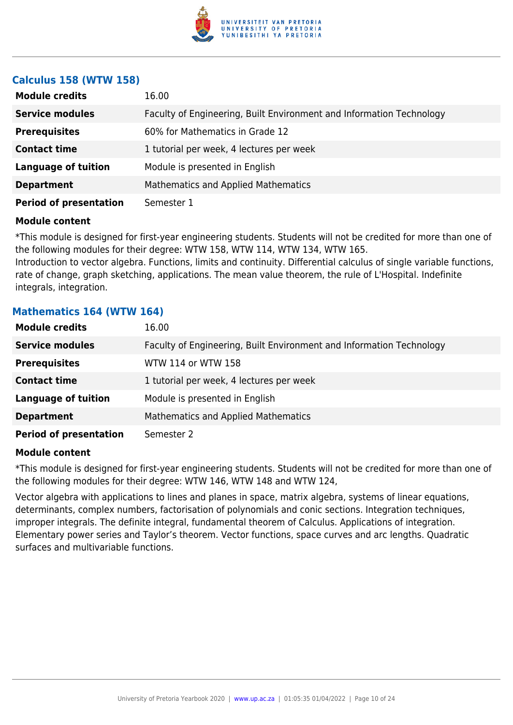

#### **Calculus 158 (WTW 158)**

| <b>Module credits</b>         | 16.00                                                                |
|-------------------------------|----------------------------------------------------------------------|
| <b>Service modules</b>        | Faculty of Engineering, Built Environment and Information Technology |
| <b>Prerequisites</b>          | 60% for Mathematics in Grade 12                                      |
| <b>Contact time</b>           | 1 tutorial per week, 4 lectures per week                             |
| <b>Language of tuition</b>    | Module is presented in English                                       |
| <b>Department</b>             | <b>Mathematics and Applied Mathematics</b>                           |
| <b>Period of presentation</b> | Semester 1                                                           |

#### **Module content**

\*This module is designed for first-year engineering students. Students will not be credited for more than one of the following modules for their degree: WTW 158, WTW 114, WTW 134, WTW 165.

Introduction to vector algebra. Functions, limits and continuity. Differential calculus of single variable functions, rate of change, graph sketching, applications. The mean value theorem, the rule of L'Hospital. Indefinite integrals, integration.

#### **Mathematics 164 (WTW 164)**

| <b>Module credits</b>         | 16.00                                                                |
|-------------------------------|----------------------------------------------------------------------|
| <b>Service modules</b>        | Faculty of Engineering, Built Environment and Information Technology |
| <b>Prerequisites</b>          | WTW 114 or WTW 158                                                   |
| <b>Contact time</b>           | 1 tutorial per week, 4 lectures per week                             |
| <b>Language of tuition</b>    | Module is presented in English                                       |
| <b>Department</b>             | <b>Mathematics and Applied Mathematics</b>                           |
| <b>Period of presentation</b> | Semester 2                                                           |

#### **Module content**

\*This module is designed for first-year engineering students. Students will not be credited for more than one of the following modules for their degree: WTW 146, WTW 148 and WTW 124,

Vector algebra with applications to lines and planes in space, matrix algebra, systems of linear equations, determinants, complex numbers, factorisation of polynomials and conic sections. Integration techniques, improper integrals. The definite integral, fundamental theorem of Calculus. Applications of integration. Elementary power series and Taylor's theorem. Vector functions, space curves and arc lengths. Quadratic surfaces and multivariable functions.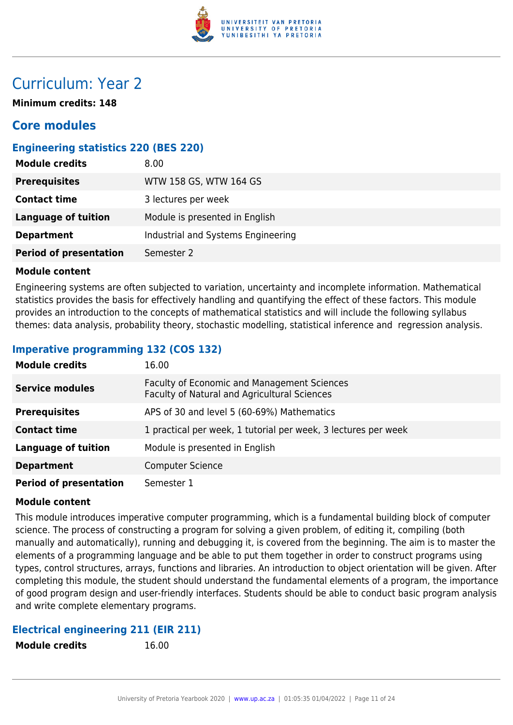

## Curriculum: Year 2

**Minimum credits: 148**

### **Core modules**

#### **Engineering statistics 220 (BES 220)**

| <b>Module credits</b>         | 8.00                               |
|-------------------------------|------------------------------------|
| <b>Prerequisites</b>          | WTW 158 GS, WTW 164 GS             |
| <b>Contact time</b>           | 3 lectures per week                |
| <b>Language of tuition</b>    | Module is presented in English     |
| <b>Department</b>             | Industrial and Systems Engineering |
| <b>Period of presentation</b> | Semester 2                         |

#### **Module content**

Engineering systems are often subjected to variation, uncertainty and incomplete information. Mathematical statistics provides the basis for effectively handling and quantifying the effect of these factors. This module provides an introduction to the concepts of mathematical statistics and will include the following syllabus themes: data analysis, probability theory, stochastic modelling, statistical inference and regression analysis.

#### **Imperative programming 132 (COS 132)**

| <b>Module credits</b>         | 16.00                                                                                       |
|-------------------------------|---------------------------------------------------------------------------------------------|
| <b>Service modules</b>        | Faculty of Economic and Management Sciences<br>Faculty of Natural and Agricultural Sciences |
| <b>Prerequisites</b>          | APS of 30 and level 5 (60-69%) Mathematics                                                  |
| <b>Contact time</b>           | 1 practical per week, 1 tutorial per week, 3 lectures per week                              |
| <b>Language of tuition</b>    | Module is presented in English                                                              |
| <b>Department</b>             | <b>Computer Science</b>                                                                     |
| <b>Period of presentation</b> | Semester 1                                                                                  |

#### **Module content**

This module introduces imperative computer programming, which is a fundamental building block of computer science. The process of constructing a program for solving a given problem, of editing it, compiling (both manually and automatically), running and debugging it, is covered from the beginning. The aim is to master the elements of a programming language and be able to put them together in order to construct programs using types, control structures, arrays, functions and libraries. An introduction to object orientation will be given. After completing this module, the student should understand the fundamental elements of a program, the importance of good program design and user-friendly interfaces. Students should be able to conduct basic program analysis and write complete elementary programs.

#### **Electrical engineering 211 (EIR 211)**

**Module credits** 16.00

| <b>Module credits</b> |  |  |
|-----------------------|--|--|
|-----------------------|--|--|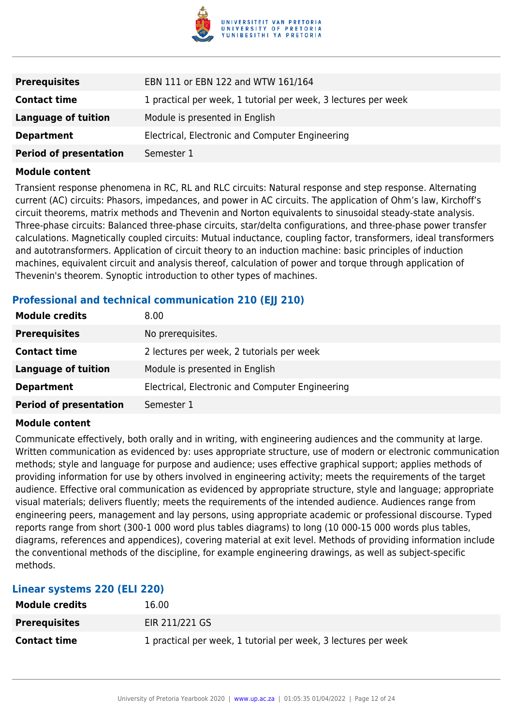

| <b>Prerequisites</b>          | EBN 111 or EBN 122 and WTW 161/164                             |
|-------------------------------|----------------------------------------------------------------|
| <b>Contact time</b>           | 1 practical per week, 1 tutorial per week, 3 lectures per week |
| <b>Language of tuition</b>    | Module is presented in English                                 |
| <b>Department</b>             | Electrical, Electronic and Computer Engineering                |
| <b>Period of presentation</b> | Semester 1                                                     |

Transient response phenomena in RC, RL and RLC circuits: Natural response and step response. Alternating current (AC) circuits: Phasors, impedances, and power in AC circuits. The application of Ohm's law, Kirchoff's circuit theorems, matrix methods and Thevenin and Norton equivalents to sinusoidal steady-state analysis. Three-phase circuits: Balanced three-phase circuits, star/delta configurations, and three-phase power transfer calculations. Magnetically coupled circuits: Mutual inductance, coupling factor, transformers, ideal transformers and autotransformers. Application of circuit theory to an induction machine: basic principles of induction machines, equivalent circuit and analysis thereof, calculation of power and torque through application of Thevenin's theorem. Synoptic introduction to other types of machines.

#### **Professional and technical communication 210 (EII 210)**

| <b>Module credits</b>         | 8.00                                            |
|-------------------------------|-------------------------------------------------|
| <b>Prerequisites</b>          | No prerequisites.                               |
| <b>Contact time</b>           | 2 lectures per week, 2 tutorials per week       |
| <b>Language of tuition</b>    | Module is presented in English                  |
| <b>Department</b>             | Electrical, Electronic and Computer Engineering |
| <b>Period of presentation</b> | Semester 1                                      |

#### **Module content**

Communicate effectively, both orally and in writing, with engineering audiences and the community at large. Written communication as evidenced by: uses appropriate structure, use of modern or electronic communication methods; style and language for purpose and audience; uses effective graphical support; applies methods of providing information for use by others involved in engineering activity; meets the requirements of the target audience. Effective oral communication as evidenced by appropriate structure, style and language; appropriate visual materials; delivers fluently; meets the requirements of the intended audience. Audiences range from engineering peers, management and lay persons, using appropriate academic or professional discourse. Typed reports range from short (300-1 000 word plus tables diagrams) to long (10 000-15 000 words plus tables, diagrams, references and appendices), covering material at exit level. Methods of providing information include the conventional methods of the discipline, for example engineering drawings, as well as subject-specific methods.

| Linear systems 220 (ELI 220) |                                                                |
|------------------------------|----------------------------------------------------------------|
| <b>Module credits</b>        | 16.00                                                          |
| <b>Prerequisites</b>         | EIR 211/221 GS                                                 |
| <b>Contact time</b>          | 1 practical per week, 1 tutorial per week, 3 lectures per week |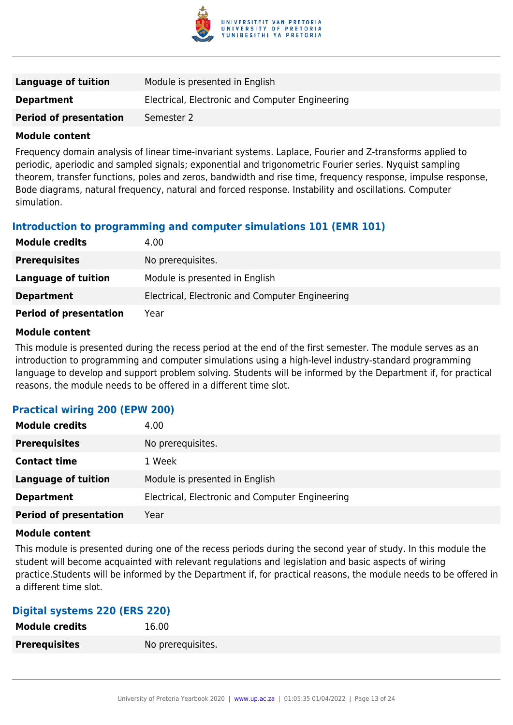

| Language of tuition           | Module is presented in English                  |
|-------------------------------|-------------------------------------------------|
| <b>Department</b>             | Electrical, Electronic and Computer Engineering |
| <b>Period of presentation</b> | Semester 2                                      |

Frequency domain analysis of linear time-invariant systems. Laplace, Fourier and Z-transforms applied to periodic, aperiodic and sampled signals; exponential and trigonometric Fourier series. Nyquist sampling theorem, transfer functions, poles and zeros, bandwidth and rise time, frequency response, impulse response, Bode diagrams, natural frequency, natural and forced response. Instability and oscillations. Computer simulation.

#### **Introduction to programming and computer simulations 101 (EMR 101)**

| <b>Module credits</b>         | 4.00                                            |
|-------------------------------|-------------------------------------------------|
| <b>Prerequisites</b>          | No prerequisites.                               |
| Language of tuition           | Module is presented in English                  |
| <b>Department</b>             | Electrical, Electronic and Computer Engineering |
| <b>Period of presentation</b> | Year                                            |

#### **Module content**

This module is presented during the recess period at the end of the first semester. The module serves as an introduction to programming and computer simulations using a high-level industry-standard programming language to develop and support problem solving. Students will be informed by the Department if, for practical reasons, the module needs to be offered in a different time slot.

#### **Practical wiring 200 (EPW 200)**

| <b>Module credits</b>         | 4.00                                            |
|-------------------------------|-------------------------------------------------|
| <b>Prerequisites</b>          | No prerequisites.                               |
| <b>Contact time</b>           | 1 Week                                          |
| Language of tuition           | Module is presented in English                  |
| <b>Department</b>             | Electrical, Electronic and Computer Engineering |
| <b>Period of presentation</b> | Year                                            |

#### **Module content**

This module is presented during one of the recess periods during the second year of study. In this module the student will become acquainted with relevant regulations and legislation and basic aspects of wiring practice.Students will be informed by the Department if, for practical reasons, the module needs to be offered in a different time slot.

#### **Digital systems 220 (ERS 220)**

| <b>Module credits</b> | 16.00             |
|-----------------------|-------------------|
| <b>Prerequisites</b>  | No prerequisites. |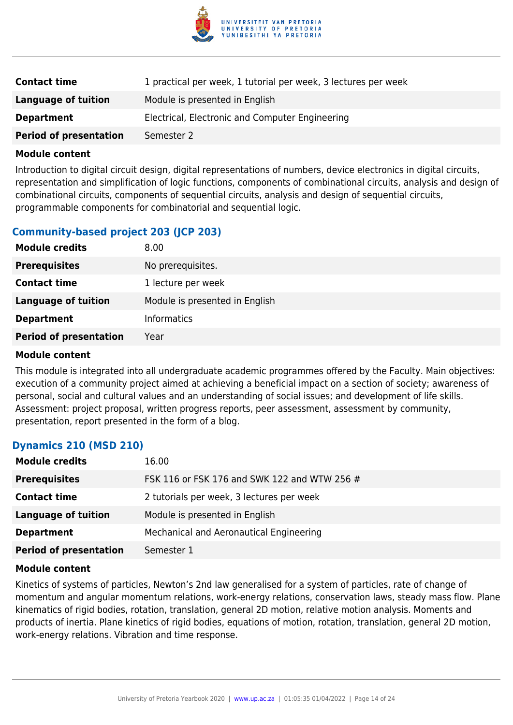

| <b>Contact time</b>           | 1 practical per week, 1 tutorial per week, 3 lectures per week |
|-------------------------------|----------------------------------------------------------------|
| Language of tuition           | Module is presented in English                                 |
| <b>Department</b>             | Electrical, Electronic and Computer Engineering                |
| <b>Period of presentation</b> | Semester 2                                                     |

Introduction to digital circuit design, digital representations of numbers, device electronics in digital circuits, representation and simplification of logic functions, components of combinational circuits, analysis and design of combinational circuits, components of sequential circuits, analysis and design of sequential circuits, programmable components for combinatorial and sequential logic.

#### **Community-based project 203 (JCP 203)**

| <b>Module credits</b>         | 8.00                           |
|-------------------------------|--------------------------------|
| <b>Prerequisites</b>          | No prerequisites.              |
| <b>Contact time</b>           | 1 lecture per week             |
| Language of tuition           | Module is presented in English |
| <b>Department</b>             | <b>Informatics</b>             |
| <b>Period of presentation</b> | Year                           |

#### **Module content**

This module is integrated into all undergraduate academic programmes offered by the Faculty. Main objectives: execution of a community project aimed at achieving a beneficial impact on a section of society; awareness of personal, social and cultural values and an understanding of social issues; and development of life skills. Assessment: project proposal, written progress reports, peer assessment, assessment by community, presentation, report presented in the form of a blog.

#### **Dynamics 210 (MSD 210)**

| <b>Module credits</b>         | 16.00                                        |
|-------------------------------|----------------------------------------------|
| <b>Prerequisites</b>          | FSK 116 or FSK 176 and SWK 122 and WTW 256 # |
| <b>Contact time</b>           | 2 tutorials per week, 3 lectures per week    |
| <b>Language of tuition</b>    | Module is presented in English               |
| <b>Department</b>             | Mechanical and Aeronautical Engineering      |
| <b>Period of presentation</b> | Semester 1                                   |

#### **Module content**

Kinetics of systems of particles, Newton's 2nd law generalised for a system of particles, rate of change of momentum and angular momentum relations, work-energy relations, conservation laws, steady mass flow. Plane kinematics of rigid bodies, rotation, translation, general 2D motion, relative motion analysis. Moments and products of inertia. Plane kinetics of rigid bodies, equations of motion, rotation, translation, general 2D motion, work-energy relations. Vibration and time response.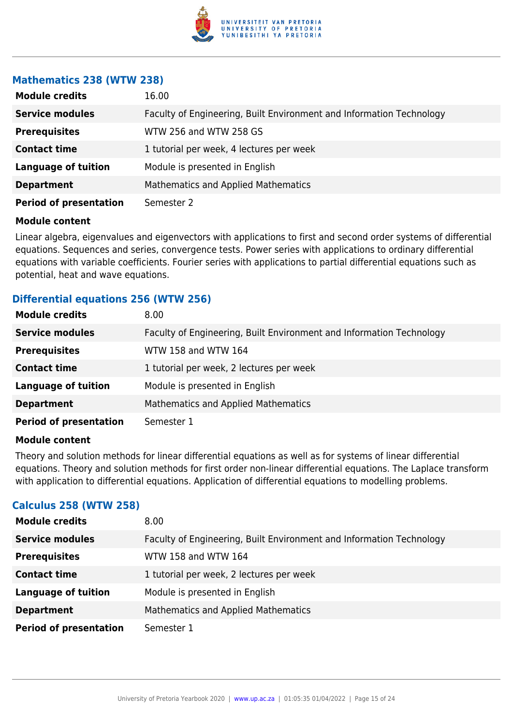

#### **Mathematics 238 (WTW 238)**

| <b>Module credits</b>         | 16.00                                                                |
|-------------------------------|----------------------------------------------------------------------|
| <b>Service modules</b>        | Faculty of Engineering, Built Environment and Information Technology |
| <b>Prerequisites</b>          | WTW 256 and WTW 258 GS                                               |
| <b>Contact time</b>           | 1 tutorial per week, 4 lectures per week                             |
| <b>Language of tuition</b>    | Module is presented in English                                       |
| <b>Department</b>             | <b>Mathematics and Applied Mathematics</b>                           |
| <b>Period of presentation</b> | Semester 2                                                           |

#### **Module content**

Linear algebra, eigenvalues and eigenvectors with applications to first and second order systems of differential equations. Sequences and series, convergence tests. Power series with applications to ordinary differential equations with variable coefficients. Fourier series with applications to partial differential equations such as potential, heat and wave equations.

#### **Differential equations 256 (WTW 256)**

| <b>Module credits</b>         | 8.00                                                                 |
|-------------------------------|----------------------------------------------------------------------|
| <b>Service modules</b>        | Faculty of Engineering, Built Environment and Information Technology |
| <b>Prerequisites</b>          | WTW 158 and WTW 164                                                  |
| <b>Contact time</b>           | 1 tutorial per week, 2 lectures per week                             |
| <b>Language of tuition</b>    | Module is presented in English                                       |
| <b>Department</b>             | <b>Mathematics and Applied Mathematics</b>                           |
| <b>Period of presentation</b> | Semester 1                                                           |

#### **Module content**

Theory and solution methods for linear differential equations as well as for systems of linear differential equations. Theory and solution methods for first order non-linear differential equations. The Laplace transform with application to differential equations. Application of differential equations to modelling problems.

#### **Calculus 258 (WTW 258)**

| <b>Module credits</b>         | 8.00                                                                 |
|-------------------------------|----------------------------------------------------------------------|
| <b>Service modules</b>        | Faculty of Engineering, Built Environment and Information Technology |
| <b>Prerequisites</b>          | WTW 158 and WTW 164                                                  |
| <b>Contact time</b>           | 1 tutorial per week, 2 lectures per week                             |
| <b>Language of tuition</b>    | Module is presented in English                                       |
| <b>Department</b>             | <b>Mathematics and Applied Mathematics</b>                           |
| <b>Period of presentation</b> | Semester 1                                                           |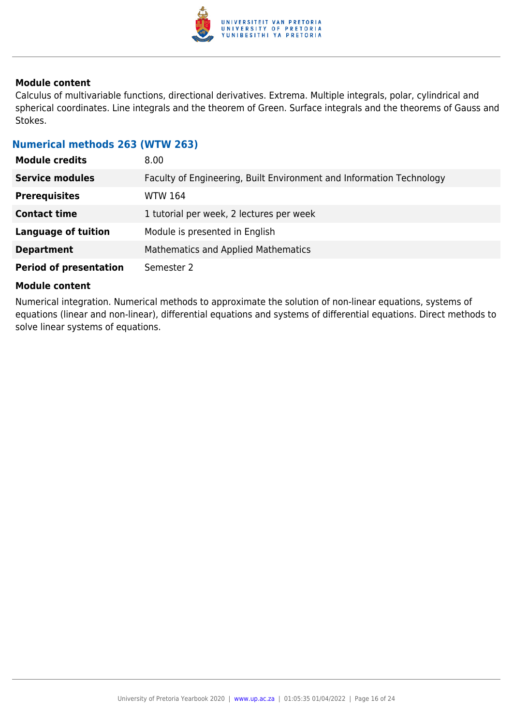

Calculus of multivariable functions, directional derivatives. Extrema. Multiple integrals, polar, cylindrical and spherical coordinates. Line integrals and the theorem of Green. Surface integrals and the theorems of Gauss and Stokes.

#### **Numerical methods 263 (WTW 263)**

| <b>Module credits</b>         | 8.00                                                                 |
|-------------------------------|----------------------------------------------------------------------|
| <b>Service modules</b>        | Faculty of Engineering, Built Environment and Information Technology |
| <b>Prerequisites</b>          | <b>WTW 164</b>                                                       |
| <b>Contact time</b>           | 1 tutorial per week, 2 lectures per week                             |
| <b>Language of tuition</b>    | Module is presented in English                                       |
| <b>Department</b>             | <b>Mathematics and Applied Mathematics</b>                           |
| <b>Period of presentation</b> | Semester 2                                                           |

#### **Module content**

Numerical integration. Numerical methods to approximate the solution of non-linear equations, systems of equations (linear and non-linear), differential equations and systems of differential equations. Direct methods to solve linear systems of equations.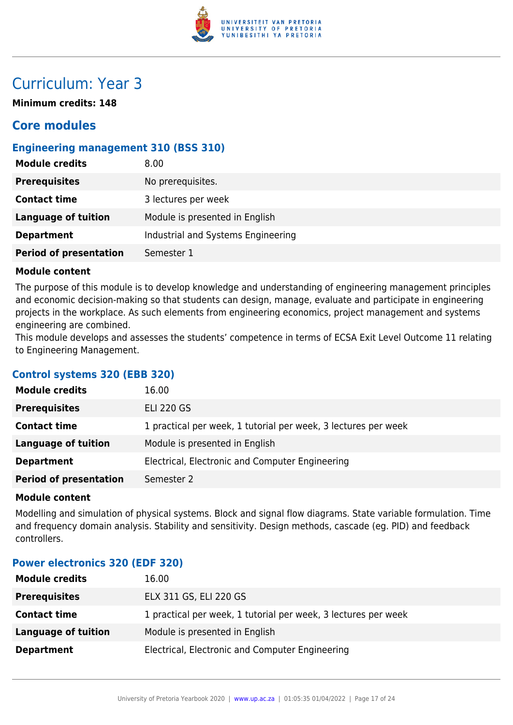

# Curriculum: Year 3

**Minimum credits: 148**

### **Core modules**

#### **Engineering management 310 (BSS 310)**

| <b>Module credits</b>         | 8.00                               |
|-------------------------------|------------------------------------|
| <b>Prerequisites</b>          | No prerequisites.                  |
| <b>Contact time</b>           | 3 lectures per week                |
| Language of tuition           | Module is presented in English     |
| <b>Department</b>             | Industrial and Systems Engineering |
| <b>Period of presentation</b> | Semester 1                         |

#### **Module content**

The purpose of this module is to develop knowledge and understanding of engineering management principles and economic decision-making so that students can design, manage, evaluate and participate in engineering projects in the workplace. As such elements from engineering economics, project management and systems engineering are combined.

This module develops and assesses the students' competence in terms of ECSA Exit Level Outcome 11 relating to Engineering Management.

#### **Control systems 320 (EBB 320)**

| <b>Module credits</b>         | 16.00                                                          |
|-------------------------------|----------------------------------------------------------------|
| <b>Prerequisites</b>          | <b>ELI 220 GS</b>                                              |
| <b>Contact time</b>           | 1 practical per week, 1 tutorial per week, 3 lectures per week |
| Language of tuition           | Module is presented in English                                 |
| <b>Department</b>             | Electrical, Electronic and Computer Engineering                |
| <b>Period of presentation</b> | Semester 2                                                     |

#### **Module content**

Modelling and simulation of physical systems. Block and signal flow diagrams. State variable formulation. Time and frequency domain analysis. Stability and sensitivity. Design methods, cascade (eg. PID) and feedback controllers.

#### **Power electronics 320 (EDF 320)**

| <b>Module credits</b> | 16.00                                                          |
|-----------------------|----------------------------------------------------------------|
| <b>Prerequisites</b>  | ELX 311 GS, ELI 220 GS                                         |
| <b>Contact time</b>   | 1 practical per week, 1 tutorial per week, 3 lectures per week |
| Language of tuition   | Module is presented in English                                 |
| <b>Department</b>     | Electrical, Electronic and Computer Engineering                |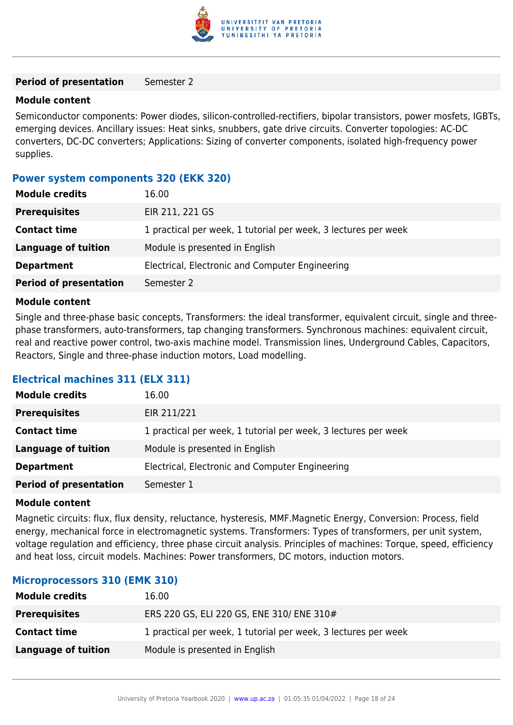

#### **Period of presentation** Semester 2

#### **Module content**

Semiconductor components: Power diodes, silicon-controlled-rectifiers, bipolar transistors, power mosfets, IGBTs, emerging devices. Ancillary issues: Heat sinks, snubbers, gate drive circuits. Converter topologies: AC-DC converters, DC-DC converters; Applications: Sizing of converter components, isolated high-frequency power supplies.

#### **Power system components 320 (EKK 320)**

| <b>Module credits</b>         | 16.00                                                          |
|-------------------------------|----------------------------------------------------------------|
| <b>Prerequisites</b>          | EIR 211, 221 GS                                                |
| <b>Contact time</b>           | 1 practical per week, 1 tutorial per week, 3 lectures per week |
| Language of tuition           | Module is presented in English                                 |
| <b>Department</b>             | Electrical, Electronic and Computer Engineering                |
| <b>Period of presentation</b> | Semester 2                                                     |

#### **Module content**

Single and three-phase basic concepts, Transformers: the ideal transformer, equivalent circuit, single and threephase transformers, auto-transformers, tap changing transformers. Synchronous machines: equivalent circuit, real and reactive power control, two-axis machine model. Transmission lines, Underground Cables, Capacitors, Reactors, Single and three-phase induction motors, Load modelling.

#### **Electrical machines 311 (ELX 311)**

| <b>Module credits</b>         | 16.00                                                          |
|-------------------------------|----------------------------------------------------------------|
| <b>Prerequisites</b>          | EIR 211/221                                                    |
| <b>Contact time</b>           | 1 practical per week, 1 tutorial per week, 3 lectures per week |
| <b>Language of tuition</b>    | Module is presented in English                                 |
| <b>Department</b>             | Electrical, Electronic and Computer Engineering                |
| <b>Period of presentation</b> | Semester 1                                                     |

#### **Module content**

Magnetic circuits: flux, flux density, reluctance, hysteresis, MMF.Magnetic Energy, Conversion: Process, field energy, mechanical force in electromagnetic systems. Transformers: Types of transformers, per unit system, voltage regulation and efficiency, three phase circuit analysis. Principles of machines: Torque, speed, efficiency and heat loss, circuit models. Machines: Power transformers, DC motors, induction motors.

#### **Microprocessors 310 (EMK 310)**

| <b>Module credits</b> | 16.00                                                          |
|-----------------------|----------------------------------------------------------------|
| <b>Prerequisites</b>  | ERS 220 GS, ELI 220 GS, ENE 310/ ENE 310#                      |
| <b>Contact time</b>   | 1 practical per week, 1 tutorial per week, 3 lectures per week |
| Language of tuition   | Module is presented in English                                 |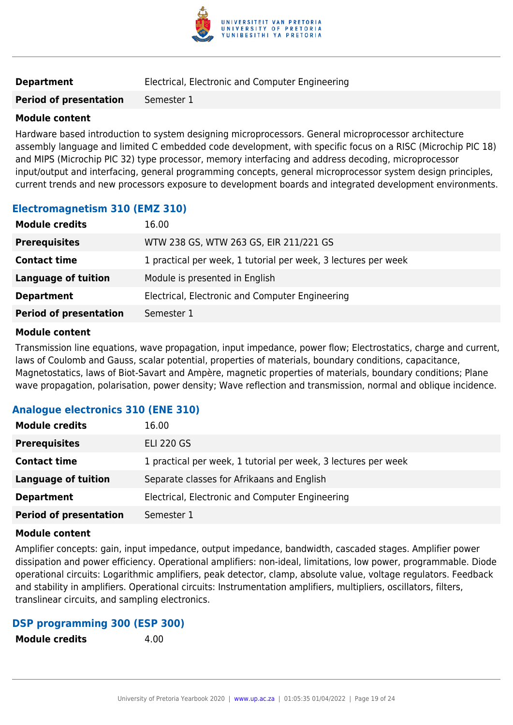

| <b>Department</b> |  | Electrical, Electronic and Computer Engineering |  |  |  |  |
|-------------------|--|-------------------------------------------------|--|--|--|--|
|-------------------|--|-------------------------------------------------|--|--|--|--|

**Period of presentation** Semester 1

#### **Module content**

Hardware based introduction to system designing microprocessors. General microprocessor architecture assembly language and limited C embedded code development, with specific focus on a RISC (Microchip PIC 18) and MIPS (Microchip PIC 32) type processor, memory interfacing and address decoding, microprocessor input/output and interfacing, general programming concepts, general microprocessor system design principles, current trends and new processors exposure to development boards and integrated development environments.

#### **Electromagnetism 310 (EMZ 310)**

| <b>Module credits</b>         | 16.00                                                          |
|-------------------------------|----------------------------------------------------------------|
| <b>Prerequisites</b>          | WTW 238 GS, WTW 263 GS, EIR 211/221 GS                         |
| <b>Contact time</b>           | 1 practical per week, 1 tutorial per week, 3 lectures per week |
| Language of tuition           | Module is presented in English                                 |
| <b>Department</b>             | Electrical, Electronic and Computer Engineering                |
| <b>Period of presentation</b> | Semester 1                                                     |

#### **Module content**

Transmission line equations, wave propagation, input impedance, power flow; Electrostatics, charge and current, laws of Coulomb and Gauss, scalar potential, properties of materials, boundary conditions, capacitance, Magnetostatics, laws of Biot-Savart and Ampère, magnetic properties of materials, boundary conditions; Plane wave propagation, polarisation, power density; Wave reflection and transmission, normal and oblique incidence.

#### **Analogue electronics 310 (ENE 310)**

| <b>Module credits</b>         | 16.00                                                          |
|-------------------------------|----------------------------------------------------------------|
| <b>Prerequisites</b>          | <b>ELI 220 GS</b>                                              |
| <b>Contact time</b>           | 1 practical per week, 1 tutorial per week, 3 lectures per week |
| Language of tuition           | Separate classes for Afrikaans and English                     |
| <b>Department</b>             | Electrical, Electronic and Computer Engineering                |
| <b>Period of presentation</b> | Semester 1                                                     |

#### **Module content**

Amplifier concepts: gain, input impedance, output impedance, bandwidth, cascaded stages. Amplifier power dissipation and power efficiency. Operational amplifiers: non-ideal, limitations, low power, programmable. Diode operational circuits: Logarithmic amplifiers, peak detector, clamp, absolute value, voltage regulators. Feedback and stability in amplifiers. Operational circuits: Instrumentation amplifiers, multipliers, oscillators, filters, translinear circuits, and sampling electronics.

#### **DSP programming 300 (ESP 300)**

**Module credits** 4.00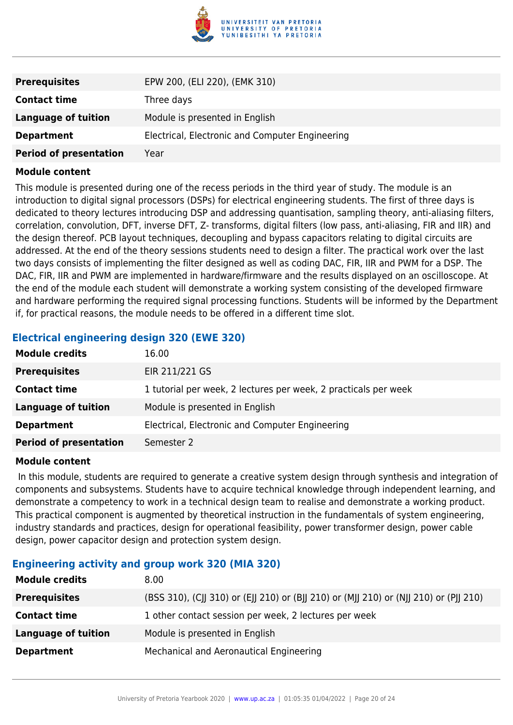

| <b>Prerequisites</b>          | EPW 200, (ELI 220), (EMK 310)                   |
|-------------------------------|-------------------------------------------------|
| <b>Contact time</b>           | Three days                                      |
| Language of tuition           | Module is presented in English                  |
| <b>Department</b>             | Electrical, Electronic and Computer Engineering |
| <b>Period of presentation</b> | Year                                            |

This module is presented during one of the recess periods in the third year of study. The module is an introduction to digital signal processors (DSPs) for electrical engineering students. The first of three days is dedicated to theory lectures introducing DSP and addressing quantisation, sampling theory, anti-aliasing filters, correlation, convolution, DFT, inverse DFT, Z- transforms, digital filters (low pass, anti-aliasing, FIR and IIR) and the design thereof. PCB layout techniques, decoupling and bypass capacitors relating to digital circuits are addressed. At the end of the theory sessions students need to design a filter. The practical work over the last two days consists of implementing the filter designed as well as coding DAC, FIR, IIR and PWM for a DSP. The DAC, FIR, IIR and PWM are implemented in hardware/firmware and the results displayed on an oscilloscope. At the end of the module each student will demonstrate a working system consisting of the developed firmware and hardware performing the required signal processing functions. Students will be informed by the Department if, for practical reasons, the module needs to be offered in a different time slot.

#### **Electrical engineering design 320 (EWE 320)**

| <b>Module credits</b>         | 16.00                                                           |
|-------------------------------|-----------------------------------------------------------------|
| <b>Prerequisites</b>          | EIR 211/221 GS                                                  |
| <b>Contact time</b>           | 1 tutorial per week, 2 lectures per week, 2 practicals per week |
| Language of tuition           | Module is presented in English                                  |
| <b>Department</b>             | Electrical, Electronic and Computer Engineering                 |
| <b>Period of presentation</b> | Semester 2                                                      |

#### **Module content**

 In this module, students are required to generate a creative system design through synthesis and integration of components and subsystems. Students have to acquire technical knowledge through independent learning, and demonstrate a competency to work in a technical design team to realise and demonstrate a working product. This practical component is augmented by theoretical instruction in the fundamentals of system engineering, industry standards and practices, design for operational feasibility, power transformer design, power cable design, power capacitor design and protection system design.

#### **Engineering activity and group work 320 (MIA 320)**

| <b>Module credits</b>      | 8.00                                                                                  |
|----------------------------|---------------------------------------------------------------------------------------|
| <b>Prerequisites</b>       | (BSS 310), (CJJ 310) or (EJJ 210) or (BJJ 210) or (MJJ 210) or (NJJ 210) or (PJJ 210) |
| <b>Contact time</b>        | 1 other contact session per week, 2 lectures per week                                 |
| <b>Language of tuition</b> | Module is presented in English                                                        |
| <b>Department</b>          | Mechanical and Aeronautical Engineering                                               |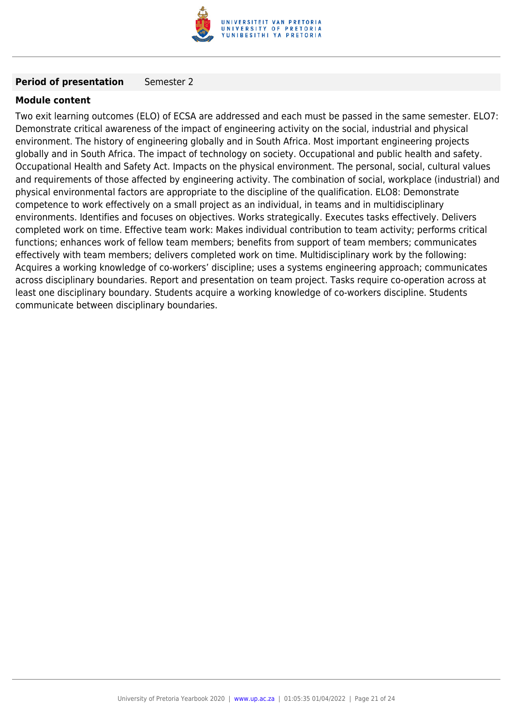

#### **Period of presentation** Semester 2

#### **Module content**

Two exit learning outcomes (ELO) of ECSA are addressed and each must be passed in the same semester. ELO7: Demonstrate critical awareness of the impact of engineering activity on the social, industrial and physical environment. The history of engineering globally and in South Africa. Most important engineering projects globally and in South Africa. The impact of technology on society. Occupational and public health and safety. Occupational Health and Safety Act. Impacts on the physical environment. The personal, social, cultural values and requirements of those affected by engineering activity. The combination of social, workplace (industrial) and physical environmental factors are appropriate to the discipline of the qualification. ELO8: Demonstrate competence to work effectively on a small project as an individual, in teams and in multidisciplinary environments. Identifies and focuses on objectives. Works strategically. Executes tasks effectively. Delivers completed work on time. Effective team work: Makes individual contribution to team activity; performs critical functions; enhances work of fellow team members; benefits from support of team members; communicates effectively with team members; delivers completed work on time. Multidisciplinary work by the following: Acquires a working knowledge of co-workers' discipline; uses a systems engineering approach; communicates across disciplinary boundaries. Report and presentation on team project. Tasks require co-operation across at least one disciplinary boundary. Students acquire a working knowledge of co-workers discipline. Students communicate between disciplinary boundaries.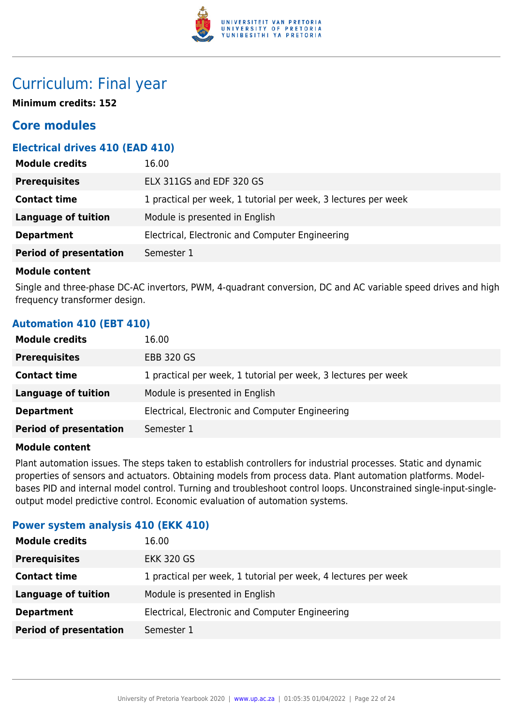

### Curriculum: Final year

**Minimum credits: 152**

### **Core modules**

#### **Electrical drives 410 (EAD 410)**

| <b>Module credits</b><br>16.00                   |                                                                |
|--------------------------------------------------|----------------------------------------------------------------|
| ELX 311GS and EDF 320 GS<br><b>Prerequisites</b> |                                                                |
| <b>Contact time</b>                              | 1 practical per week, 1 tutorial per week, 3 lectures per week |
| <b>Language of tuition</b>                       | Module is presented in English                                 |
| <b>Department</b>                                | Electrical, Electronic and Computer Engineering                |
| <b>Period of presentation</b><br>Semester 1      |                                                                |

#### **Module content**

Single and three-phase DC-AC invertors, PWM, 4-quadrant conversion, DC and AC variable speed drives and high frequency transformer design.

#### **Automation 410 (EBT 410)**

| <b>Module credits</b>         | 16.00                                                          |
|-------------------------------|----------------------------------------------------------------|
| <b>Prerequisites</b>          | <b>EBB 320 GS</b>                                              |
| <b>Contact time</b>           | 1 practical per week, 1 tutorial per week, 3 lectures per week |
| Language of tuition           | Module is presented in English                                 |
| <b>Department</b>             | Electrical, Electronic and Computer Engineering                |
| <b>Period of presentation</b> | Semester 1                                                     |

#### **Module content**

Plant automation issues. The steps taken to establish controllers for industrial processes. Static and dynamic properties of sensors and actuators. Obtaining models from process data. Plant automation platforms. Modelbases PID and internal model control. Turning and troubleshoot control loops. Unconstrained single-input-singleoutput model predictive control. Economic evaluation of automation systems.

#### **Power system analysis 410 (EKK 410)**

| <b>Module credits</b>         | 16.00                                                          |
|-------------------------------|----------------------------------------------------------------|
| <b>Prerequisites</b>          | <b>EKK 320 GS</b>                                              |
| <b>Contact time</b>           | 1 practical per week, 1 tutorial per week, 4 lectures per week |
| Language of tuition           | Module is presented in English                                 |
| <b>Department</b>             | Electrical, Electronic and Computer Engineering                |
| <b>Period of presentation</b> | Semester 1                                                     |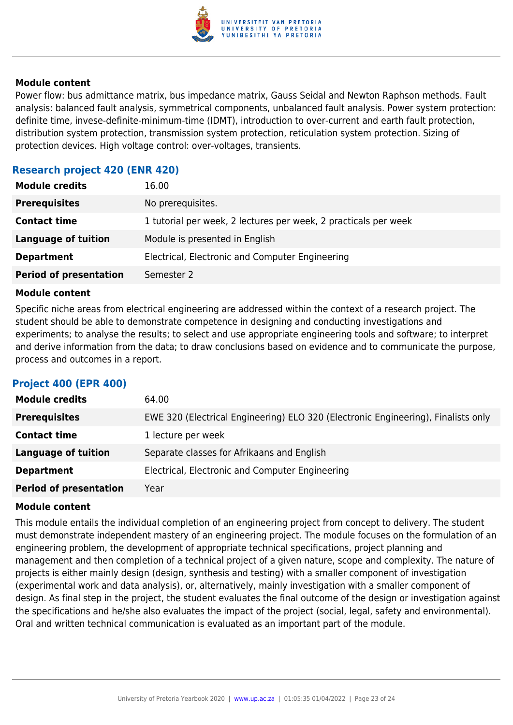

Power flow: bus admittance matrix, bus impedance matrix, Gauss Seidal and Newton Raphson methods. Fault analysis: balanced fault analysis, symmetrical components, unbalanced fault analysis. Power system protection: definite time, invese-definite-minimum-time (IDMT), introduction to over-current and earth fault protection, distribution system protection, transmission system protection, reticulation system protection. Sizing of protection devices. High voltage control: over-voltages, transients.

#### **Research project 420 (ENR 420)**

| <b>Module credits</b>         | 16.00                                                           |
|-------------------------------|-----------------------------------------------------------------|
| <b>Prerequisites</b>          | No prerequisites.                                               |
| <b>Contact time</b>           | 1 tutorial per week, 2 lectures per week, 2 practicals per week |
| <b>Language of tuition</b>    | Module is presented in English                                  |
| <b>Department</b>             | Electrical, Electronic and Computer Engineering                 |
| <b>Period of presentation</b> | Semester 2                                                      |

#### **Module content**

Specific niche areas from electrical engineering are addressed within the context of a research project. The student should be able to demonstrate competence in designing and conducting investigations and experiments; to analyse the results; to select and use appropriate engineering tools and software; to interpret and derive information from the data; to draw conclusions based on evidence and to communicate the purpose, process and outcomes in a report.

#### **Project 400 (EPR 400)**

| <b>Module credits</b>         | 64.00                                                                             |
|-------------------------------|-----------------------------------------------------------------------------------|
| <b>Prerequisites</b>          | EWE 320 (Electrical Engineering) ELO 320 (Electronic Engineering), Finalists only |
| <b>Contact time</b>           | 1 lecture per week                                                                |
| <b>Language of tuition</b>    | Separate classes for Afrikaans and English                                        |
| <b>Department</b>             | Electrical, Electronic and Computer Engineering                                   |
| <b>Period of presentation</b> | Year                                                                              |

#### **Module content**

This module entails the individual completion of an engineering project from concept to delivery. The student must demonstrate independent mastery of an engineering project. The module focuses on the formulation of an engineering problem, the development of appropriate technical specifications, project planning and management and then completion of a technical project of a given nature, scope and complexity. The nature of projects is either mainly design (design, synthesis and testing) with a smaller component of investigation (experimental work and data analysis), or, alternatively, mainly investigation with a smaller component of design. As final step in the project, the student evaluates the final outcome of the design or investigation against the specifications and he/she also evaluates the impact of the project (social, legal, safety and environmental). Oral and written technical communication is evaluated as an important part of the module.